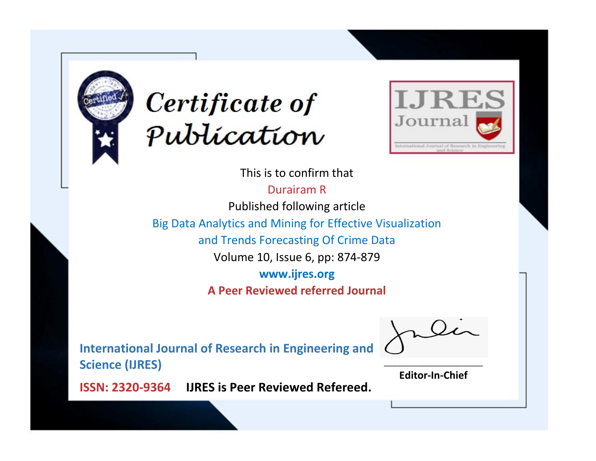



This is to confirm that

Durairam R Published following article Big Data Analytics and Mining for Effective Visualization and Trends Forecasting Of Crime Data Volume 10, Issue 6, pp: 874-879 **www.ijres.org A Peer Reviewed referred Journal**

**International Journal of Research in Engineering and Science (IJRES)**

\_\_\_\_\_\_\_\_\_\_\_\_\_\_\_\_\_\_\_\_\_\_\_\_ **Editor-In-Chief**

**Journal.**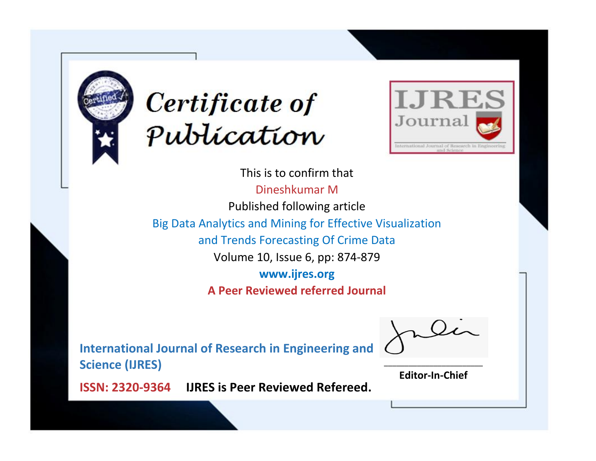



This is to confirm that Dineshkumar M Published following article Big Data Analytics and Mining for Effective Visualization and Trends Forecasting Of Crime Data Volume 10, Issue 6, pp: 874-879 **www.ijres.org A Peer Reviewed referred Journal**

**International Journal of Research in Engineering and Science (IJRES)**

\_\_\_\_\_\_\_\_\_\_\_\_\_\_\_\_\_\_\_\_\_\_\_\_ **Editor-In-Chief**

**Journal.**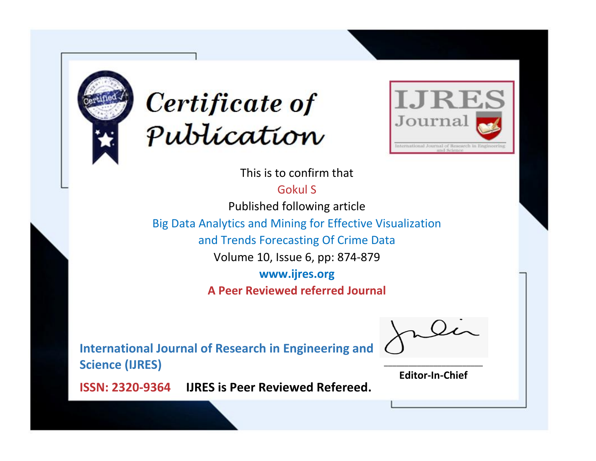



This is to confirm that

Gokul S

Published following article

Big Data Analytics and Mining for Effective Visualization

and Trends Forecasting Of Crime Data

Volume 10, Issue 6, pp: 874-879

**www.ijres.org**

**A Peer Reviewed referred Journal**

**International Journal of Research in Engineering and Science (IJRES)**

\_\_\_\_\_\_\_\_\_\_\_\_\_\_\_\_\_\_\_\_\_\_\_\_ **Editor-In-Chief**

**Journal.**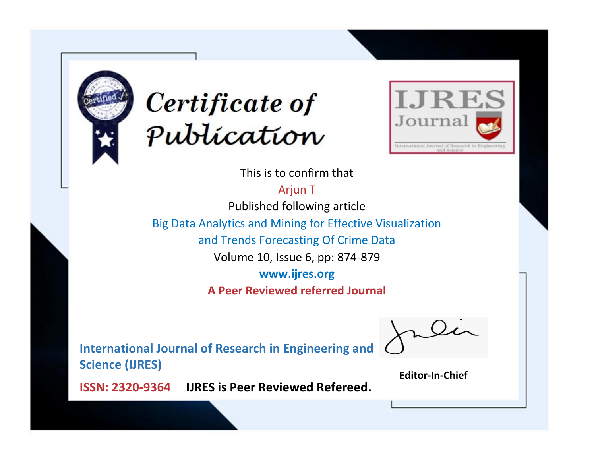



This is to confirm that

Arjun T

Published following article

Big Data Analytics and Mining for Effective Visualization

and Trends Forecasting Of Crime Data

Volume 10, Issue 6, pp: 874-879

**www.ijres.org**

**A Peer Reviewed referred Journal**

**International Journal of Research in Engineering and Science (IJRES)**

\_\_\_\_\_\_\_\_\_\_\_\_\_\_\_\_\_\_\_\_\_\_\_\_ **Editor-In-Chief**

**Journal.**